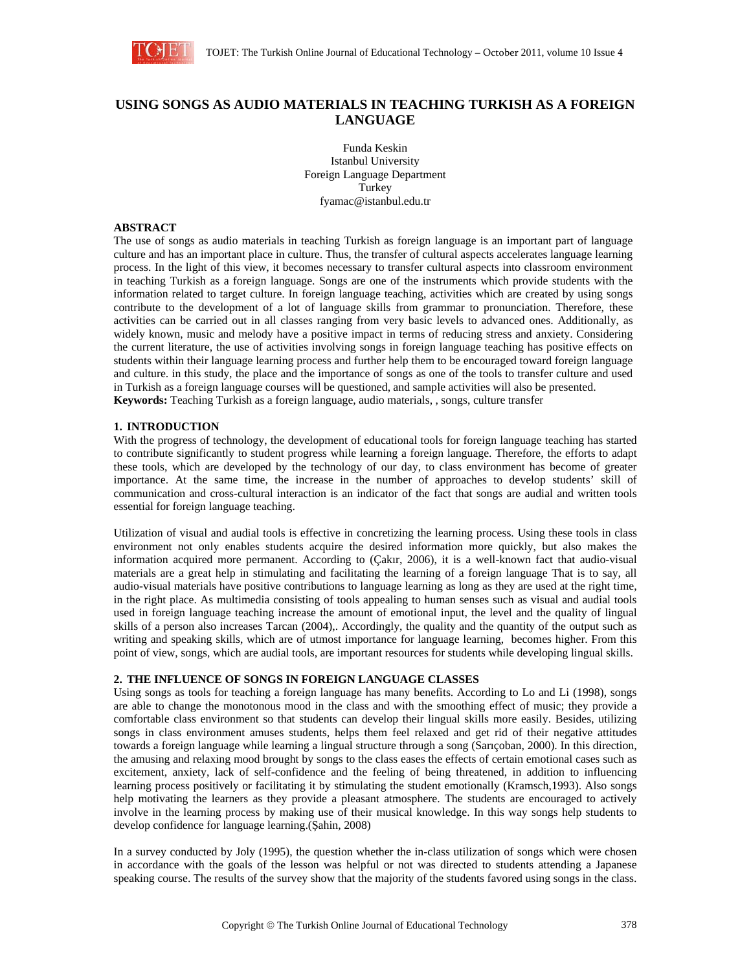

# **USING SONGS AS AUDIO MATERIALS IN TEACHING TURKISH AS A FOREIGN LANGUAGE**

Funda Keskin Istanbul University Foreign Language Department Turkey fyamac@istanbul.edu.tr

# **ABSTRACT**

The use of songs as audio materials in teaching Turkish as foreign language is an important part of language culture and has an important place in culture. Thus, the transfer of cultural aspects accelerates language learning process. In the light of this view, it becomes necessary to transfer cultural aspects into classroom environment in teaching Turkish as a foreign language. Songs are one of the instruments which provide students with the information related to target culture. In foreign language teaching, activities which are created by using songs contribute to the development of a lot of language skills from grammar to pronunciation. Therefore, these activities can be carried out in all classes ranging from very basic levels to advanced ones. Additionally, as widely known, music and melody have a positive impact in terms of reducing stress and anxiety. Considering the current literature, the use of activities involving songs in foreign language teaching has positive effects on students within their language learning process and further help them to be encouraged toward foreign language and culture. in this study, the place and the importance of songs as one of the tools to transfer culture and used in Turkish as a foreign language courses will be questioned, and sample activities will also be presented. **Keywords:** Teaching Turkish as a foreign language, audio materials, , songs, culture transfer

## **1. INTRODUCTION**

With the progress of technology, the development of educational tools for foreign language teaching has started to contribute significantly to student progress while learning a foreign language. Therefore, the efforts to adapt these tools, which are developed by the technology of our day, to class environment has become of greater importance. At the same time, the increase in the number of approaches to develop students' skill of communication and cross-cultural interaction is an indicator of the fact that songs are audial and written tools essential for foreign language teaching.

Utilization of visual and audial tools is effective in concretizing the learning process. Using these tools in class environment not only enables students acquire the desired information more quickly, but also makes the information acquired more permanent. According to (Çakır, 2006), it is a well-known fact that audio-visual materials are a great help in stimulating and facilitating the learning of a foreign language That is to say, all audio-visual materials have positive contributions to language learning as long as they are used at the right time, in the right place. As multimedia consisting of tools appealing to human senses such as visual and audial tools used in foreign language teaching increase the amount of emotional input, the level and the quality of lingual skills of a person also increases Tarcan (2004),. Accordingly, the quality and the quantity of the output such as writing and speaking skills, which are of utmost importance for language learning, becomes higher. From this point of view, songs, which are audial tools, are important resources for students while developing lingual skills.

## **2. THE INFLUENCE OF SONGS IN FOREIGN LANGUAGE CLASSES**

Using songs as tools for teaching a foreign language has many benefits. According to Lo and Li (1998), songs are able to change the monotonous mood in the class and with the smoothing effect of music; they provide a comfortable class environment so that students can develop their lingual skills more easily. Besides, utilizing songs in class environment amuses students, helps them feel relaxed and get rid of their negative attitudes towards a foreign language while learning a lingual structure through a song (Sarıçoban, 2000). In this direction, the amusing and relaxing mood brought by songs to the class eases the effects of certain emotional cases such as excitement, anxiety, lack of self-confidence and the feeling of being threatened, in addition to influencing learning process positively or facilitating it by stimulating the student emotionally (Kramsch,1993). Also songs help motivating the learners as they provide a pleasant atmosphere. The students are encouraged to actively involve in the learning process by making use of their musical knowledge. In this way songs help students to develop confidence for language learning.(Şahin, 2008)

In a survey conducted by Joly (1995), the question whether the in-class utilization of songs which were chosen in accordance with the goals of the lesson was helpful or not was directed to students attending a Japanese speaking course. The results of the survey show that the majority of the students favored using songs in the class.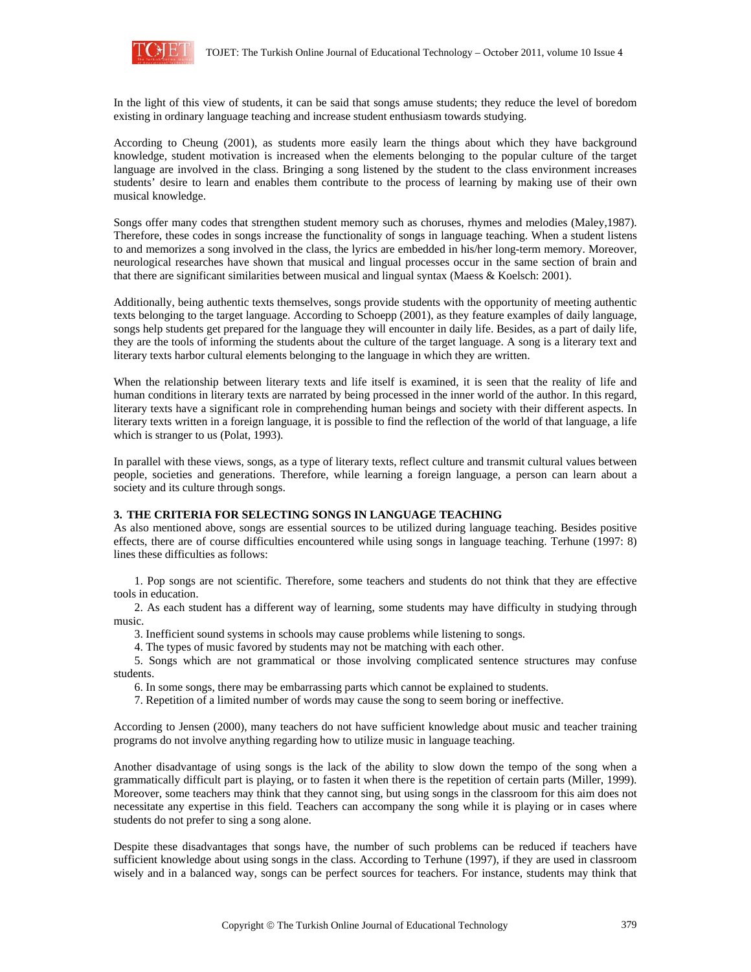

In the light of this view of students, it can be said that songs amuse students; they reduce the level of boredom existing in ordinary language teaching and increase student enthusiasm towards studying.

According to Cheung (2001), as students more easily learn the things about which they have background knowledge, student motivation is increased when the elements belonging to the popular culture of the target language are involved in the class. Bringing a song listened by the student to the class environment increases students' desire to learn and enables them contribute to the process of learning by making use of their own musical knowledge.

Songs offer many codes that strengthen student memory such as choruses, rhymes and melodies (Maley,1987). Therefore, these codes in songs increase the functionality of songs in language teaching. When a student listens to and memorizes a song involved in the class, the lyrics are embedded in his/her long-term memory. Moreover, neurological researches have shown that musical and lingual processes occur in the same section of brain and that there are significant similarities between musical and lingual syntax (Maess & Koelsch: 2001).

Additionally, being authentic texts themselves, songs provide students with the opportunity of meeting authentic texts belonging to the target language. According to Schoepp (2001), as they feature examples of daily language, songs help students get prepared for the language they will encounter in daily life. Besides, as a part of daily life, they are the tools of informing the students about the culture of the target language. A song is a literary text and literary texts harbor cultural elements belonging to the language in which they are written.

When the relationship between literary texts and life itself is examined, it is seen that the reality of life and human conditions in literary texts are narrated by being processed in the inner world of the author. In this regard, literary texts have a significant role in comprehending human beings and society with their different aspects. In literary texts written in a foreign language, it is possible to find the reflection of the world of that language, a life which is stranger to us (Polat, 1993).

In parallel with these views, songs, as a type of literary texts, reflect culture and transmit cultural values between people, societies and generations. Therefore, while learning a foreign language, a person can learn about a society and its culture through songs.

#### **3. THE CRITERIA FOR SELECTING SONGS IN LANGUAGE TEACHING**

As also mentioned above, songs are essential sources to be utilized during language teaching. Besides positive effects, there are of course difficulties encountered while using songs in language teaching. Terhune (1997: 8) lines these difficulties as follows:

1. Pop songs are not scientific. Therefore, some teachers and students do not think that they are effective tools in education.

2. As each student has a different way of learning, some students may have difficulty in studying through music.

3. Inefficient sound systems in schools may cause problems while listening to songs.

4. The types of music favored by students may not be matching with each other.

5. Songs which are not grammatical or those involving complicated sentence structures may confuse students.

6. In some songs, there may be embarrassing parts which cannot be explained to students.

7. Repetition of a limited number of words may cause the song to seem boring or ineffective.

According to Jensen (2000), many teachers do not have sufficient knowledge about music and teacher training programs do not involve anything regarding how to utilize music in language teaching.

Another disadvantage of using songs is the lack of the ability to slow down the tempo of the song when a grammatically difficult part is playing, or to fasten it when there is the repetition of certain parts (Miller, 1999). Moreover, some teachers may think that they cannot sing, but using songs in the classroom for this aim does not necessitate any expertise in this field. Teachers can accompany the song while it is playing or in cases where students do not prefer to sing a song alone.

Despite these disadvantages that songs have, the number of such problems can be reduced if teachers have sufficient knowledge about using songs in the class. According to Terhune (1997), if they are used in classroom wisely and in a balanced way, songs can be perfect sources for teachers. For instance, students may think that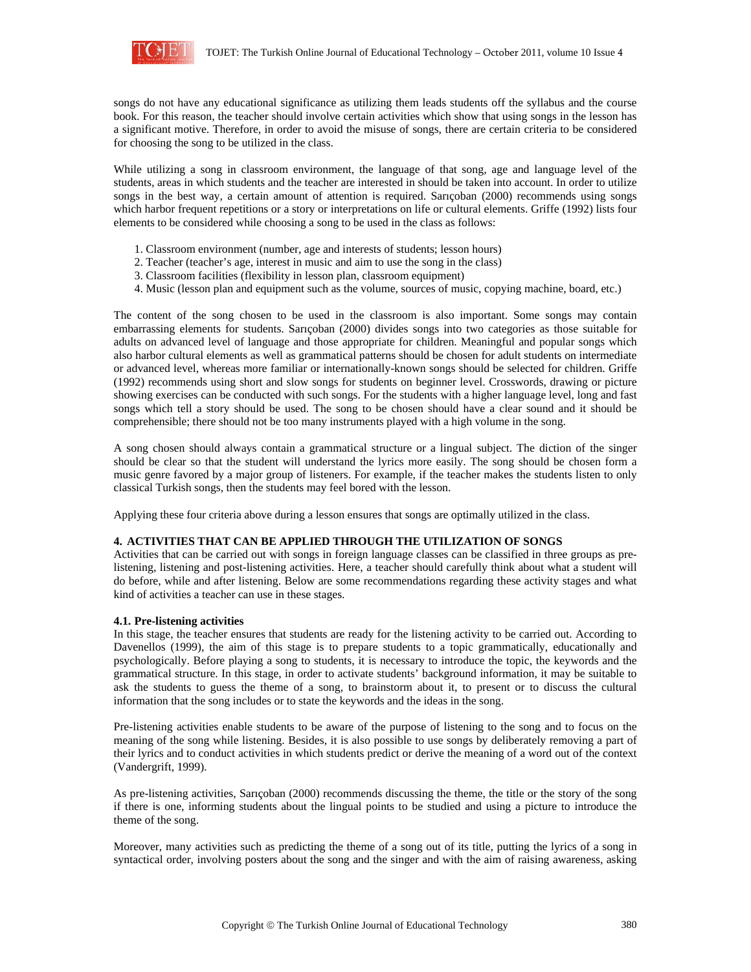

songs do not have any educational significance as utilizing them leads students off the syllabus and the course book. For this reason, the teacher should involve certain activities which show that using songs in the lesson has a significant motive. Therefore, in order to avoid the misuse of songs, there are certain criteria to be considered for choosing the song to be utilized in the class.

While utilizing a song in classroom environment, the language of that song, age and language level of the students, areas in which students and the teacher are interested in should be taken into account. In order to utilize songs in the best way, a certain amount of attention is required. Sarıçoban (2000) recommends using songs which harbor frequent repetitions or a story or interpretations on life or cultural elements. Griffe (1992) lists four elements to be considered while choosing a song to be used in the class as follows:

- 1. Classroom environment (number, age and interests of students; lesson hours)
- 2. Teacher (teacher's age, interest in music and aim to use the song in the class)
- 3. Classroom facilities (flexibility in lesson plan, classroom equipment)
- 4. Music (lesson plan and equipment such as the volume, sources of music, copying machine, board, etc.)

The content of the song chosen to be used in the classroom is also important. Some songs may contain embarrassing elements for students. Sarıçoban (2000) divides songs into two categories as those suitable for adults on advanced level of language and those appropriate for children. Meaningful and popular songs which also harbor cultural elements as well as grammatical patterns should be chosen for adult students on intermediate or advanced level, whereas more familiar or internationally-known songs should be selected for children. Griffe (1992) recommends using short and slow songs for students on beginner level. Crosswords, drawing or picture showing exercises can be conducted with such songs. For the students with a higher language level, long and fast songs which tell a story should be used. The song to be chosen should have a clear sound and it should be comprehensible; there should not be too many instruments played with a high volume in the song.

A song chosen should always contain a grammatical structure or a lingual subject. The diction of the singer should be clear so that the student will understand the lyrics more easily. The song should be chosen form a music genre favored by a major group of listeners. For example, if the teacher makes the students listen to only classical Turkish songs, then the students may feel bored with the lesson.

Applying these four criteria above during a lesson ensures that songs are optimally utilized in the class.

#### **4. ACTIVITIES THAT CAN BE APPLIED THROUGH THE UTILIZATION OF SONGS**

Activities that can be carried out with songs in foreign language classes can be classified in three groups as prelistening, listening and post-listening activities. Here, a teacher should carefully think about what a student will do before, while and after listening. Below are some recommendations regarding these activity stages and what kind of activities a teacher can use in these stages.

#### **4.1. Pre-listening activities**

In this stage, the teacher ensures that students are ready for the listening activity to be carried out. According to Davenellos (1999), the aim of this stage is to prepare students to a topic grammatically, educationally and psychologically. Before playing a song to students, it is necessary to introduce the topic, the keywords and the grammatical structure. In this stage, in order to activate students' background information, it may be suitable to ask the students to guess the theme of a song, to brainstorm about it, to present or to discuss the cultural information that the song includes or to state the keywords and the ideas in the song.

Pre-listening activities enable students to be aware of the purpose of listening to the song and to focus on the meaning of the song while listening. Besides, it is also possible to use songs by deliberately removing a part of their lyrics and to conduct activities in which students predict or derive the meaning of a word out of the context (Vandergrift, 1999).

As pre-listening activities, Sarıçoban (2000) recommends discussing the theme, the title or the story of the song if there is one, informing students about the lingual points to be studied and using a picture to introduce the theme of the song.

Moreover, many activities such as predicting the theme of a song out of its title, putting the lyrics of a song in syntactical order, involving posters about the song and the singer and with the aim of raising awareness, asking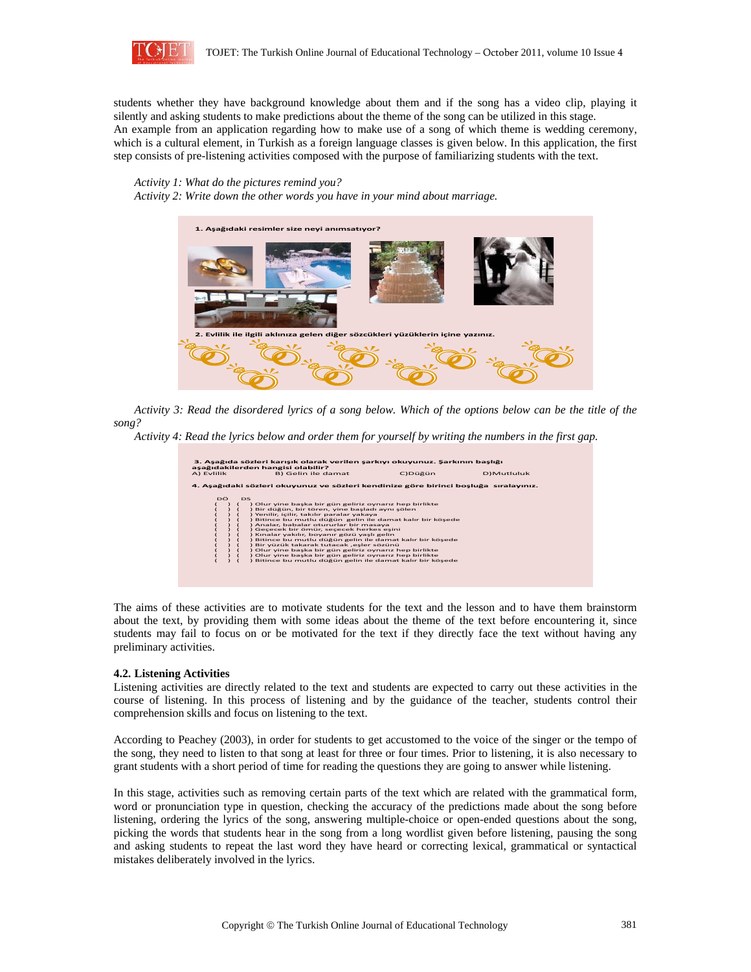

students whether they have background knowledge about them and if the song has a video clip, playing it silently and asking students to make predictions about the theme of the song can be utilized in this stage. An example from an application regarding how to make use of a song of which theme is wedding ceremony, which is a cultural element, in Turkish as a foreign language classes is given below. In this application, the first step consists of pre-listening activities composed with the purpose of familiarizing students with the text.

## *Activity 1: What do the pictures remind you?*

*Activity 2: Write down the other words you have in your mind about marriage.*



*Activity 3: Read the disordered lyrics of a song below. Which of the options below can be the title of the song?* 

*Activity 4: Read the lyrics below and order them for yourself by writing the numbers in the first gap.* 

| 3. Aşağıda sözleri karışık olarak verilen şarkıyı okuyunuz. Şarkının başlığı<br>aşağıdakilerden hangisi olabilir?<br>C) Düğün<br><b>D)Mutluluk</b><br>A) Evlilik<br>B) Gelin ile damat                                                                                                                                                                                                                                                                                                                                                                                                                                                                                  |                                                                                      |  |  |  |
|-------------------------------------------------------------------------------------------------------------------------------------------------------------------------------------------------------------------------------------------------------------------------------------------------------------------------------------------------------------------------------------------------------------------------------------------------------------------------------------------------------------------------------------------------------------------------------------------------------------------------------------------------------------------------|--------------------------------------------------------------------------------------|--|--|--|
|                                                                                                                                                                                                                                                                                                                                                                                                                                                                                                                                                                                                                                                                         | 4. Aşağıdaki sözleri okuyunuz ve sözleri kendinize göre birinci boşluğa sıralayınız. |  |  |  |
|                                                                                                                                                                                                                                                                                                                                                                                                                                                                                                                                                                                                                                                                         |                                                                                      |  |  |  |
| DÖ.<br><b>DS</b><br>) Olur yine başka bir gün geliriz oynarız hep birlikte<br>) Bir düğün, bir tören, yine başladı aynı şölen<br>) Yenilir, içilir, takılır paralar yakaya<br>) Bitince bu mutlu düğün gelin ile damat kalır bir köşede<br>) Analar, babalar otururlar bir masaya<br>) Geçecek bir ömür, seçecek herkes eşini<br>) Kınalar yakılır, boyanır gözü yaşlı gelin<br>) Bitince bu mutlu düğün gelin ile damat kalır bir köşede<br>) Bir yüzük takarak tutacak ,eşler sözünü<br>) Olur yine başka bir gün geliriz oynarız hep birlikte<br>) Olur yine başka bir gün geliriz oynarız hep birlikte<br>) Bitince bu mutlu düğün gelin ile damat kalır bir köşede |                                                                                      |  |  |  |

The aims of these activities are to motivate students for the text and the lesson and to have them brainstorm about the text, by providing them with some ideas about the theme of the text before encountering it, since students may fail to focus on or be motivated for the text if they directly face the text without having any preliminary activities.

#### **4.2. Listening Activities**

Listening activities are directly related to the text and students are expected to carry out these activities in the course of listening. In this process of listening and by the guidance of the teacher, students control their comprehension skills and focus on listening to the text.

According to Peachey (2003), in order for students to get accustomed to the voice of the singer or the tempo of the song, they need to listen to that song at least for three or four times. Prior to listening, it is also necessary to grant students with a short period of time for reading the questions they are going to answer while listening.

In this stage, activities such as removing certain parts of the text which are related with the grammatical form, word or pronunciation type in question, checking the accuracy of the predictions made about the song before listening, ordering the lyrics of the song, answering multiple-choice or open-ended questions about the song, picking the words that students hear in the song from a long wordlist given before listening, pausing the song and asking students to repeat the last word they have heard or correcting lexical, grammatical or syntactical mistakes deliberately involved in the lyrics.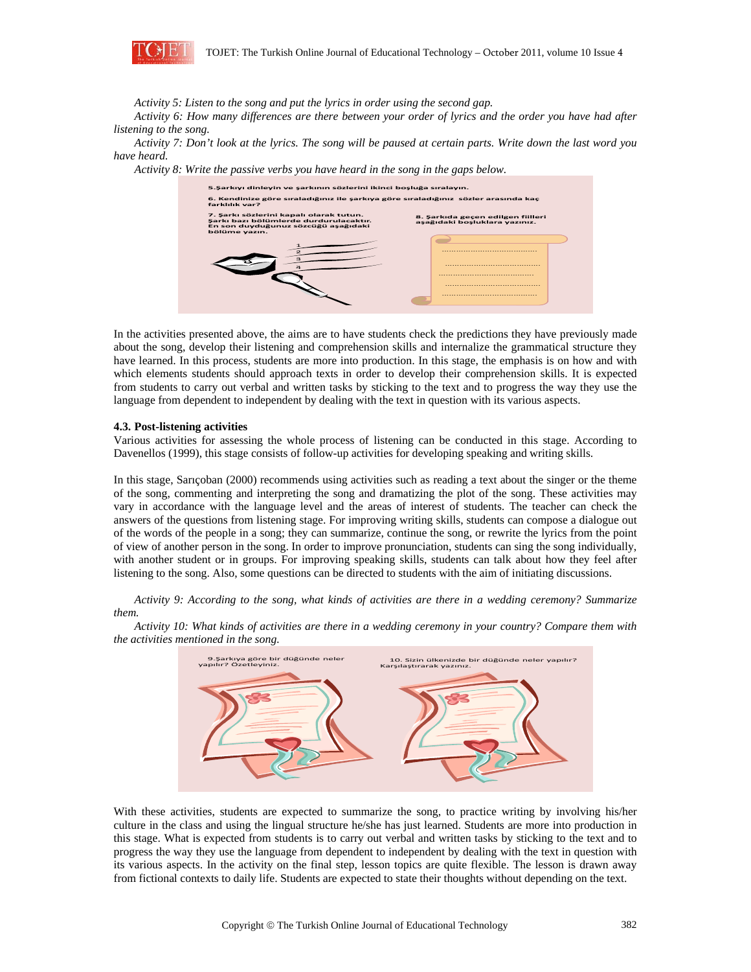

*Activity 5: Listen to the song and put the lyrics in order using the second gap.* 

*Activity 6: How many differences are there between your order of lyrics and the order you have had after listening to the song.* 

*Activity 7: Don't look at the lyrics. The song will be paused at certain parts. Write down the last word you have heard.* 

*Activity 8: Write the passive verbs you have heard in the song in the gaps below.* 

| 6. Kendinize göre sıraladığınız ile şarkıya göre sıraladığınız sözler arasında kaç<br>farklılık var?                                      |                                                                    |
|-------------------------------------------------------------------------------------------------------------------------------------------|--------------------------------------------------------------------|
| 7. Şarkı sözlerini kapalı olarak tutun.<br>Şarkı bazı bölümlerde durdurulacaktır.<br>En son duyduğunuz sözcüğü aşağıdaki<br>bölüme yazın. | 8. Sarkıda geçen edilgen fiilleri<br>aşağıdaki boşluklara yazınız. |
|                                                                                                                                           |                                                                    |
|                                                                                                                                           |                                                                    |
|                                                                                                                                           |                                                                    |
|                                                                                                                                           |                                                                    |
|                                                                                                                                           |                                                                    |
|                                                                                                                                           |                                                                    |

In the activities presented above, the aims are to have students check the predictions they have previously made about the song, develop their listening and comprehension skills and internalize the grammatical structure they have learned. In this process, students are more into production. In this stage, the emphasis is on how and with which elements students should approach texts in order to develop their comprehension skills. It is expected from students to carry out verbal and written tasks by sticking to the text and to progress the way they use the language from dependent to independent by dealing with the text in question with its various aspects.

#### **4.3. Post-listening activities**

Various activities for assessing the whole process of listening can be conducted in this stage. According to Davenellos (1999), this stage consists of follow-up activities for developing speaking and writing skills.

In this stage, Sarıçoban (2000) recommends using activities such as reading a text about the singer or the theme of the song, commenting and interpreting the song and dramatizing the plot of the song. These activities may vary in accordance with the language level and the areas of interest of students. The teacher can check the answers of the questions from listening stage. For improving writing skills, students can compose a dialogue out of the words of the people in a song; they can summarize, continue the song, or rewrite the lyrics from the point of view of another person in the song. In order to improve pronunciation, students can sing the song individually, with another student or in groups. For improving speaking skills, students can talk about how they feel after listening to the song. Also, some questions can be directed to students with the aim of initiating discussions.

*Activity 9: According to the song, what kinds of activities are there in a wedding ceremony? Summarize them.* 

*Activity 10: What kinds of activities are there in a wedding ceremony in your country? Compare them with the activities mentioned in the song.* 



With these activities, students are expected to summarize the song, to practice writing by involving his/her culture in the class and using the lingual structure he/she has just learned. Students are more into production in this stage. What is expected from students is to carry out verbal and written tasks by sticking to the text and to progress the way they use the language from dependent to independent by dealing with the text in question with its various aspects. In the activity on the final step, lesson topics are quite flexible. The lesson is drawn away from fictional contexts to daily life. Students are expected to state their thoughts without depending on the text.